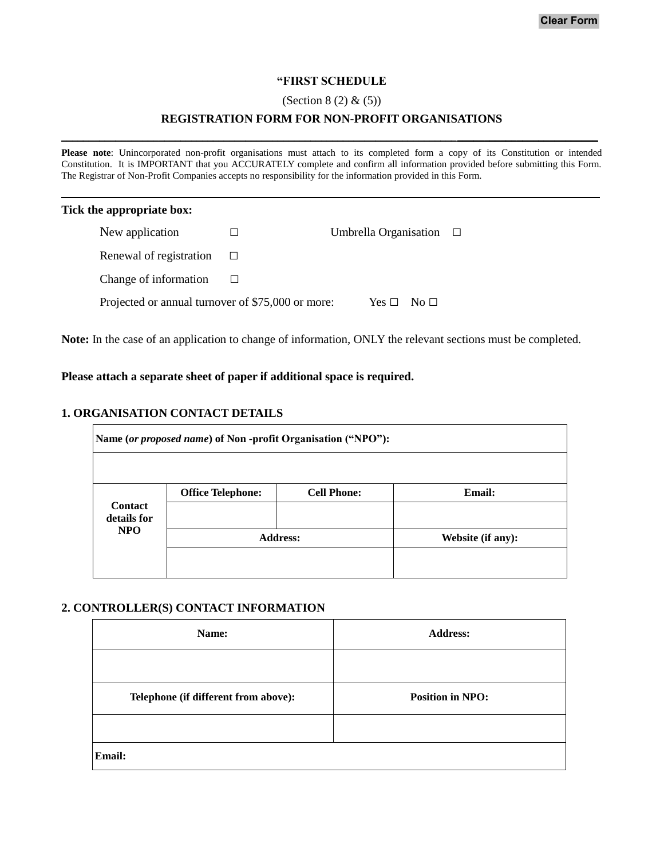### **"FIRST SCHEDULE**

#### (Section 8 (2) & (5))

## **REGISTRATION FORM FOR NON-PROFIT ORGANISATIONS** \_\_\_\_\_\_\_\_\_\_\_\_\_\_\_\_\_\_\_\_\_\_\_\_\_\_\_\_\_\_\_\_\_\_\_\_\_\_\_\_\_\_\_\_\_\_\_\_\_\_\_\_\_\_\_\_\_\_\_\_\_\_\_\_\_\_\_\_\_\_\_\_\_**\_\_\_\_\_\_\_\_\_\_\_\_\_\_\_\_\_\_\_\_\_\_\_\_\_\_**

**Please note**: Unincorporated non-profit organisations must attach to its completed form a copy of its Constitution or intended Constitution. It is IMPORTANT that you ACCURATELY complete and confirm all information provided before submitting this Form. The Registrar of Non-Profit Companies accepts no responsibility for the information provided in this Form.

#### **Tick the appropriate box:**

| New application                                   | Umbrella Organisation | $\Box$ |
|---------------------------------------------------|-----------------------|--------|
| Renewal of registration                           |                       |        |
| Change of information                             |                       |        |
| Projected or annual turnover of \$75,000 or more: | $Yes \Box No \Box$    |        |

**Note:** In the case of an application to change of information, ONLY the relevant sections must be completed.

### **Please attach a separate sheet of paper if additional space is required.**

### **1. ORGANISATION CONTACT DETAILS**

|                           | Name (or proposed name) of Non-profit Organisation ("NPO"): |                    |                   |
|---------------------------|-------------------------------------------------------------|--------------------|-------------------|
| <b>Contact</b>            | <b>Office Telephone:</b>                                    | <b>Cell Phone:</b> | <b>Email:</b>     |
| details for<br><b>NPO</b> | <b>Address:</b>                                             |                    | Website (if any): |
|                           |                                                             |                    |                   |

#### **2. CONTROLLER(S) CONTACT INFORMATION**

| Name:                                | <b>Address:</b>         |
|--------------------------------------|-------------------------|
|                                      |                         |
| Telephone (if different from above): | <b>Position in NPO:</b> |
|                                      |                         |
| <b>Email:</b>                        |                         |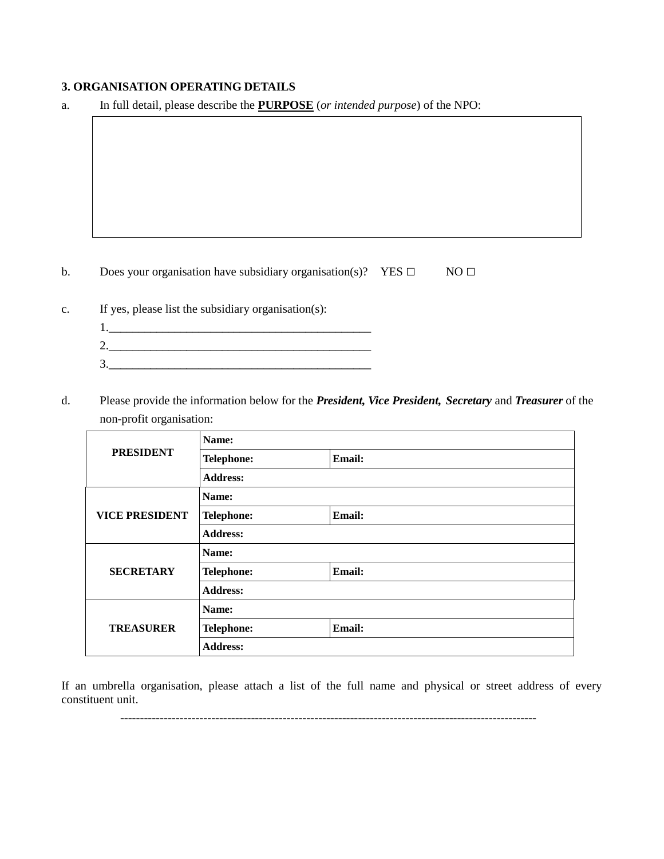## **3. ORGANISATION OPERATING DETAILS**

a. In full detail, please describe the **PURPOSE** (*or intended purpose*) of the NPO:

b. Does your organisation have subsidiary organisation(s)? YES **□** NO **□**

| c. | If yes, please list the subsidiary organisation(s): |
|----|-----------------------------------------------------|
|    |                                                     |
|    |                                                     |
|    |                                                     |

d. Please provide the information below for the *President, Vice President, Secretary* and *Treasurer* of the non-profit organisation:

|                       | Name:             |               |  |
|-----------------------|-------------------|---------------|--|
| <b>PRESIDENT</b>      | <b>Telephone:</b> | Email:        |  |
|                       | <b>Address:</b>   |               |  |
|                       | Name:             |               |  |
| <b>VICE PRESIDENT</b> | <b>Telephone:</b> | <b>Email:</b> |  |
|                       | <b>Address:</b>   |               |  |
|                       | Name:             |               |  |
| <b>SECRETARY</b>      | Telephone:        | Email:        |  |
|                       | <b>Address:</b>   |               |  |
|                       | Name:             |               |  |
| <b>TREASURER</b>      | <b>Telephone:</b> | <b>Email:</b> |  |
|                       | <b>Address:</b>   |               |  |

If an umbrella organisation, please attach a list of the full name and physical or street address of every constituent unit.

---------------------------------------------------------------------------------------------------------